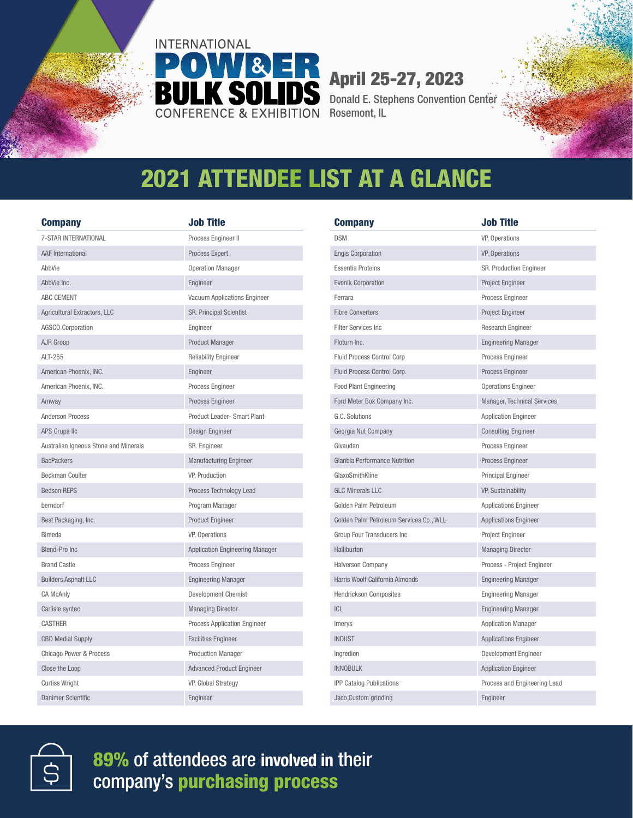

## April 25-27, 2023

Donald E. Stephens Convention Center Rosemont, IL

## 2021 ATTENDEE LIST AT A GLANCE

| <b>Company</b>                        | Job Title                              |
|---------------------------------------|----------------------------------------|
| 7-STAR INTERNATIONAL                  | Process Engineer II                    |
| <b>AAF</b> International              | Process Expert                         |
| AbbVie                                | <b>Operation Manager</b>               |
| AbbVie Inc.                           | Engineer                               |
| ABC CEMENT                            | Vacuum Applications Engineer           |
| Agricultural Extractors, LLC          | <b>SR. Principal Scientist</b>         |
| <b>AGSCO Corporation</b>              | Engineer                               |
| AJR Group                             | <b>Product Manager</b>                 |
| ALT-255                               | <b>Reliability Engineer</b>            |
| American Phoenix, INC.                | Engineer                               |
| American Phoenix, INC.                | Process Engineer                       |
| Amway                                 | Process Engineer                       |
| <b>Anderson Process</b>               | Product Leader- Smart Plant            |
| APS Grupa IIc                         | Design Engineer                        |
| Australian Igneous Stone and Minerals | SR. Engineer                           |
| <b>BacPackers</b>                     | <b>Manufacturing Engineer</b>          |
| Beckman Coulter                       | VP, Production                         |
| <b>Bedson REPS</b>                    | Process Technology Lead                |
| berndorf                              | Program Manager                        |
| Best Packaging, Inc.                  | <b>Product Engineer</b>                |
| <b>Bimeda</b>                         | VP, Operations                         |
| <b>Blend-Pro Inc</b>                  | <b>Application Engineering Manager</b> |
| <b>Brand Castle</b>                   | Process Engineer                       |
| <b>Builders Asphalt LLC</b>           | <b>Engineering Manager</b>             |
| <b>CA McAnly</b>                      | Development Chemist                    |
| Carlisle syntec                       | <b>Managing Director</b>               |
| <b>CASTHER</b>                        | <b>Process Application Engineer</b>    |
| <b>CBD Medial Supply</b>              | <b>Facilities Engineer</b>             |
| Chicago Power & Process               | <b>Production Manager</b>              |
| Close the Loop                        | <b>Advanced Product Engineer</b>       |
| <b>Curtiss Wright</b>                 | VP, Global Strategy                    |
| Danimer Scientific                    | Engineer                               |

| <b>Company</b>                          | Job Title                    |
|-----------------------------------------|------------------------------|
| <b>DSM</b>                              | VP, Operations               |
| <b>Engis Corporation</b>                | VP, Operations               |
| <b>Essentia Proteins</b>                | SR. Production Engineer      |
| <b>Evonik Corporation</b>               | Project Engineer             |
| Ferrara                                 | Process Engineer             |
| <b>Fibre Converters</b>                 | Project Engineer             |
| <b>Filter Services Inc.</b>             | Research Engineer            |
| Floturn Inc.                            | <b>Engineering Manager</b>   |
| <b>Fluid Process Control Corp</b>       | Process Engineer             |
| Fluid Process Control Corp.             | Process Engineer             |
| <b>Food Plant Engineering</b>           | <b>Operations Engineer</b>   |
| Ford Meter Box Company Inc.             | Manager, Technical Services  |
| G.C. Solutions                          | <b>Application Engineer</b>  |
| Georgia Nut Company                     | <b>Consulting Engineer</b>   |
| Givaudan                                | Process Engineer             |
| Glanbia Performance Nutrition           | Process Engineer             |
| GlaxoSmithKline                         | Principal Engineer           |
| <b>GLC Minerals LLC</b>                 | VP, Sustainability           |
| Golden Palm Petroleum                   | <b>Applications Engineer</b> |
| Golden Palm Petroleum Services Co., WLL | <b>Applications Engineer</b> |
| Group Four Transducers Inc              | Project Engineer             |
| Halliburton                             | <b>Managing Director</b>     |
| <b>Halverson Company</b>                | Process - Project Engineer   |
| Harris Woolf California Almonds         | <b>Engineering Manager</b>   |
| <b>Hendrickson Composites</b>           | <b>Engineering Manager</b>   |
| <b>ICL</b>                              | <b>Engineering Manager</b>   |
| Imerys                                  | <b>Application Manager</b>   |
| <b>INDUST</b>                           | <b>Applications Engineer</b> |
| Ingredion                               | <b>Development Engineer</b>  |
| <b>INNOBULK</b>                         | <b>Application Engineer</b>  |
| <b>IPP Catalog Publications</b>         | Process and Engineering Lead |
| Jaco Custom grinding                    | Engineer                     |



89% of attendees are involved in their company's purchasing process